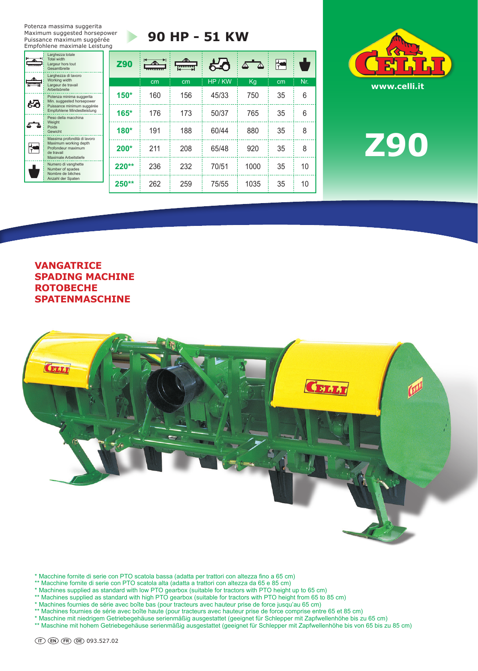Potenza massima suggerita Maximum suggested horsepower Puissance maximum suggérée Empfohlene maximale Leistung

b.

تستتل

සිර

 $\Delta \rightarrow \Delta$ 

 $\frac{1}{1}$ 

# **90 HP - 51 KW**

| Larghezza totale<br><b>Total width</b><br>Largeur hors tout<br>Gesamtbreite                                                        | <b>Z90</b> | $\overline{\phantom{a}}$ | 1111111111 | 人へ    |      | $\blacktriangleright$ |     |
|------------------------------------------------------------------------------------------------------------------------------------|------------|--------------------------|------------|-------|------|-----------------------|-----|
| Larghezza di lavoro<br>Working width<br>Largeur de travail                                                                         |            | cm                       | cm         | HP/KW | Kg   | cm                    | Nr. |
| Arbeitsbreite<br>Potenza minima suggerita<br>Min. suggested horsepower<br>Puissance minimum suggérée<br>Empfohlene Mindestleistung | $150*$     | 160                      | 156        | 45/33 | 750  | 35                    | 6   |
|                                                                                                                                    | $165*$     | 176                      | 173        | 50/37 | 765  | 35                    | 6   |
| Peso della macchina<br>Weight<br>Poids<br>Gewicht                                                                                  | $180*$     | 191                      | 188        | 60/44 | 880  | 35                    | 8   |
| Massima profondità di lavoro<br>Maximum working depth<br>Profondeur maximum<br>de travail                                          | $200*$     | 211                      | 208        | 65/48 | 920  | 35                    | 8   |
| Maximale Arbeitstiefe<br>Numero di vanghette<br>Number of spades<br>Nombre de bêches<br>Anzahl der Spaten                          | $220**$    | 236                      | 232        | 70/51 | 1000 | 35                    | 10  |
|                                                                                                                                    | $250**$    | 262                      | 259        | 75/55 | 1035 | 35                    | 10  |



**z90**

## **vangatrice SPADING MACHINE ROTOBECHE SPATENMAsCHINE**



\* Macchine fornite di serie con PTO scatola bassa (adatta per trattori con altezza fino a 65 cm)

- \*\* Macchine fornite di serie con PTO scatola alta (adatta a trattori con altezza da 65 e 85 cm)
- \* Machines supplied as standard with low PTO gearbox (suitable for tractors with PTO height up to 65 cm)
- \*\* Machines supplied as standard with high PTO gearbox (suitable for tractors with PTO height from 65 to 85 cm)
- \* Machines fournies de série avec boîte bas (pour tracteurs avec hauteur prise de force jusqu'au 65 cm)
- \*\* Machines fournies de série avec boîte haute (pour tracteurs avec hauteur prise de force comprise entre 65 et 85 cm)
- \* Maschine mit niedrigem Getriebegehäuse serienmäßig ausgestattet (geeignet für Schlepper mit Zapfwellenhöhe bis zu 65 cm)

\*\* Maschine mit hohem Getriebegehäuse serienmäßig ausgestattet (geeignet für Schlepper mit Zapfwellenhöhe bis von 65 bis zu 85 cm)